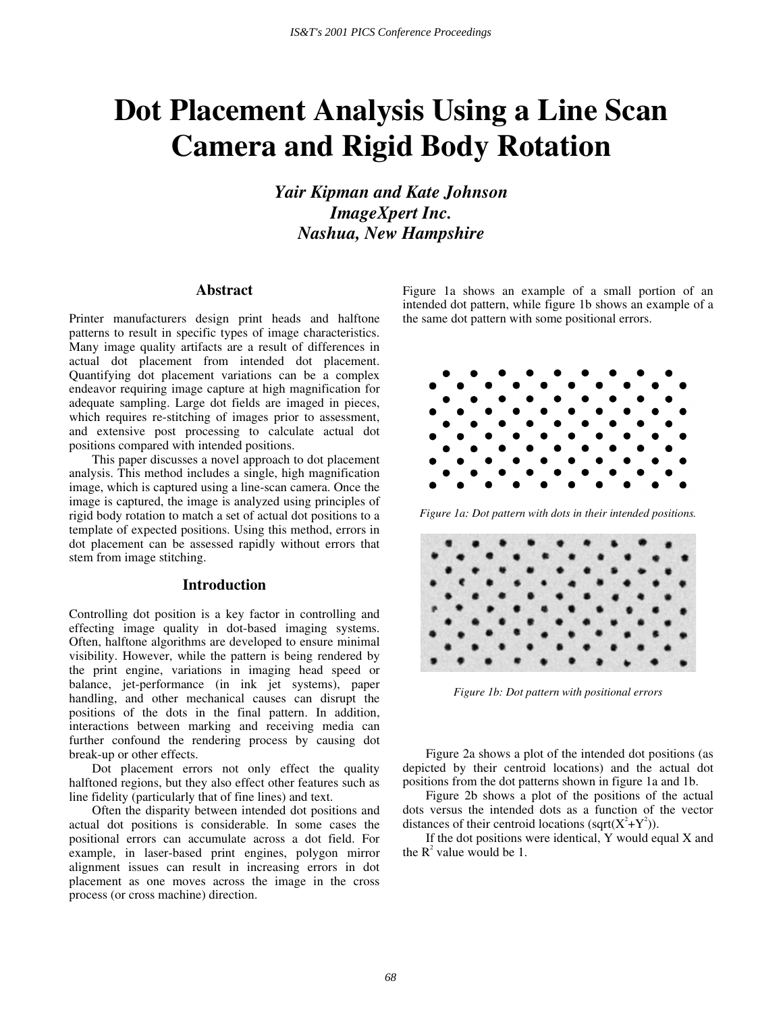# **Dot Placement Analysis Using a Line Scan Camera and Rigid Body Rotation**

*Yair Kipman and Kate Johnson ImageXpert Inc. Nashua, New Hampshire* 

## **Abstract**

Printer manufacturers design print heads and halftone patterns to result in specific types of image characteristics. Many image quality artifacts are a result of differences in actual dot placement from intended dot placement. Quantifying dot placement variations can be a complex endeavor requiring image capture at high magnification for adequate sampling. Large dot fields are imaged in pieces, which requires re-stitching of images prior to assessment, and extensive post processing to calculate actual dot positions compared with intended positions.

 This paper discusses a novel approach to dot placement analysis. This method includes a single, high magnification image, which is captured using a line-scan camera. Once the image is captured, the image is analyzed using principles of rigid body rotation to match a set of actual dot positions to a template of expected positions. Using this method, errors in dot placement can be assessed rapidly without errors that stem from image stitching.

#### **Introduction**

Controlling dot position is a key factor in controlling and effecting image quality in dot-based imaging systems. Often, halftone algorithms are developed to ensure minimal visibility. However, while the pattern is being rendered by the print engine, variations in imaging head speed or balance, jet-performance (in ink jet systems), paper handling, and other mechanical causes can disrupt the positions of the dots in the final pattern. In addition, interactions between marking and receiving media can further confound the rendering process by causing dot break-up or other effects.

Dot placement errors not only effect the quality halftoned regions, but they also effect other features such as line fidelity (particularly that of fine lines) and text.

Often the disparity between intended dot positions and actual dot positions is considerable. In some cases the positional errors can accumulate across a dot field. For example, in laser-based print engines, polygon mirror alignment issues can result in increasing errors in dot placement as one moves across the image in the cross process (or cross machine) direction.

Figure 1a shows an example of a small portion of an intended dot pattern, while figure 1b shows an example of a the same dot pattern with some positional errors.



*Figure 1a: Dot pattern with dots in their intended positions.* 



*Figure 1b: Dot pattern with positional errors* 

Figure 2a shows a plot of the intended dot positions (as depicted by their centroid locations) and the actual dot positions from the dot patterns shown in figure 1a and 1b.

Figure 2b shows a plot of the positions of the actual dots versus the intended dots as a function of the vector distances of their centroid locations (sqrt( $X^2+Y^2$ )).

If the dot positions were identical, Y would equal X and the  $R^2$  value would be 1.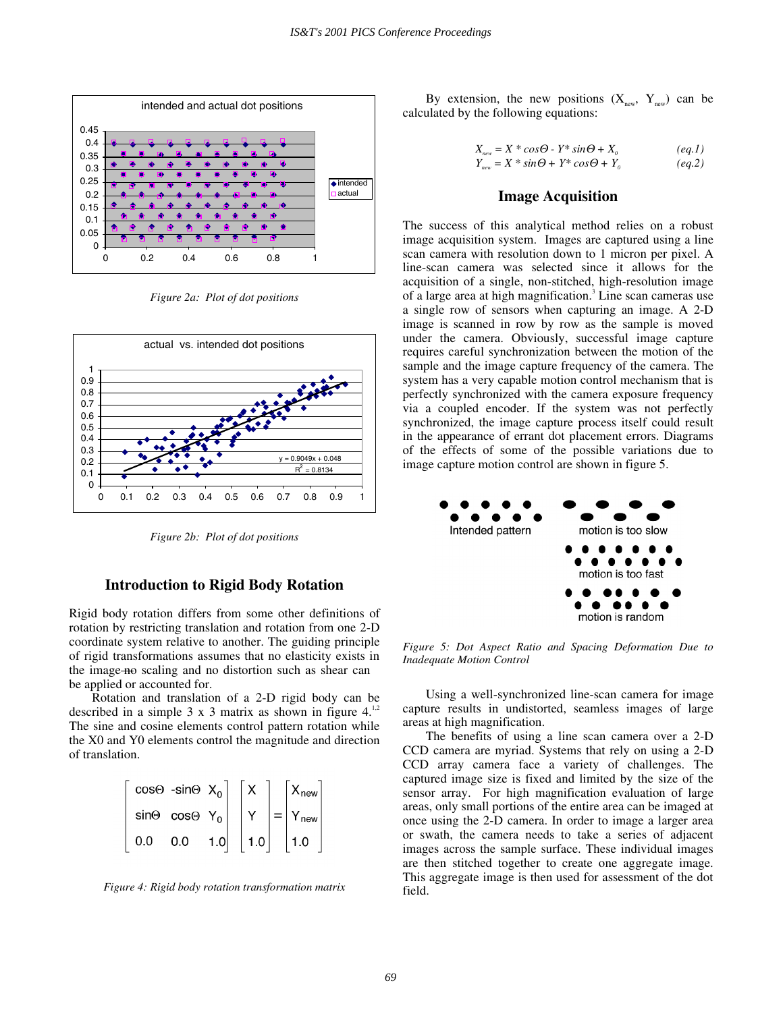

*Figure 2a: Plot of dot positions* 



*Figure 2b: Plot of dot positions* 

#### **Introduction to Rigid Body Rotation**

Rigid body rotation differs from some other definitions of rotation by restricting translation and rotation from one 2-D coordinate system relative to another. The guiding principle of rigid transformations assumes that no elasticity exists in the image—no scaling and no distortion such as shear can be applied or accounted for.

Rotation and translation of a 2-D rigid body can be described in a simple  $3 \times 3$  matrix as shown in figure  $4^{1,2}$ The sine and cosine elements control pattern rotation while the X0 and Y0 elements control the magnitude and direction of translation.

$$
\begin{bmatrix}\n\cos\Theta & -\sin\Theta & X_0 \\
\sin\Theta & \cos\Theta & Y_0 \\
0.0 & 0.0 & 1.0\n\end{bmatrix}\n\begin{bmatrix}\nX \\
Y \\
1.0\n\end{bmatrix} =\n\begin{bmatrix}\nX_{\text{new}} \\
Y_{\text{new}} \\
1.0\n\end{bmatrix}
$$

*Figure 4: Rigid body rotation transformation matrix* 

By extension, the new positions  $(X_{new}, Y_{new})$  can be calculated by the following equations:

$$
X_{new} = X * cos\Theta - Y * sin\Theta + X_o
$$
 (eq.1)  
\n
$$
Y_{new} = X * sin\Theta + Y * cos\Theta + Y_o
$$
 (eq.2)

## **Image Acquisition**

The success of this analytical method relies on a robust image acquisition system. Images are captured using a line scan camera with resolution down to 1 micron per pixel. A line-scan camera was selected since it allows for the acquisition of a single, non-stitched, high-resolution image of a large area at high magnification.<sup>3</sup> Line scan cameras use a single row of sensors when capturing an image. A 2-D image is scanned in row by row as the sample is moved under the camera. Obviously, successful image capture requires careful synchronization between the motion of the sample and the image capture frequency of the camera. The system has a very capable motion control mechanism that is perfectly synchronized with the camera exposure frequency via a coupled encoder. If the system was not perfectly synchronized, the image capture process itself could result in the appearance of errant dot placement errors. Diagrams of the effects of some of the possible variations due to image capture motion control are shown in figure 5.



*Figure 5: Dot Aspect Ratio and Spacing Deformation Due to Inadequate Motion Control* 

Using a well-synchronized line-scan camera for image capture results in undistorted, seamless images of large areas at high magnification.

The benefits of using a line scan camera over a 2-D CCD camera are myriad. Systems that rely on using a 2-D CCD array camera face a variety of challenges. The captured image size is fixed and limited by the size of the sensor array. For high magnification evaluation of large areas, only small portions of the entire area can be imaged at once using the 2-D camera. In order to image a larger area or swath, the camera needs to take a series of adjacent images across the sample surface. These individual images are then stitched together to create one aggregate image. This aggregate image is then used for assessment of the dot field.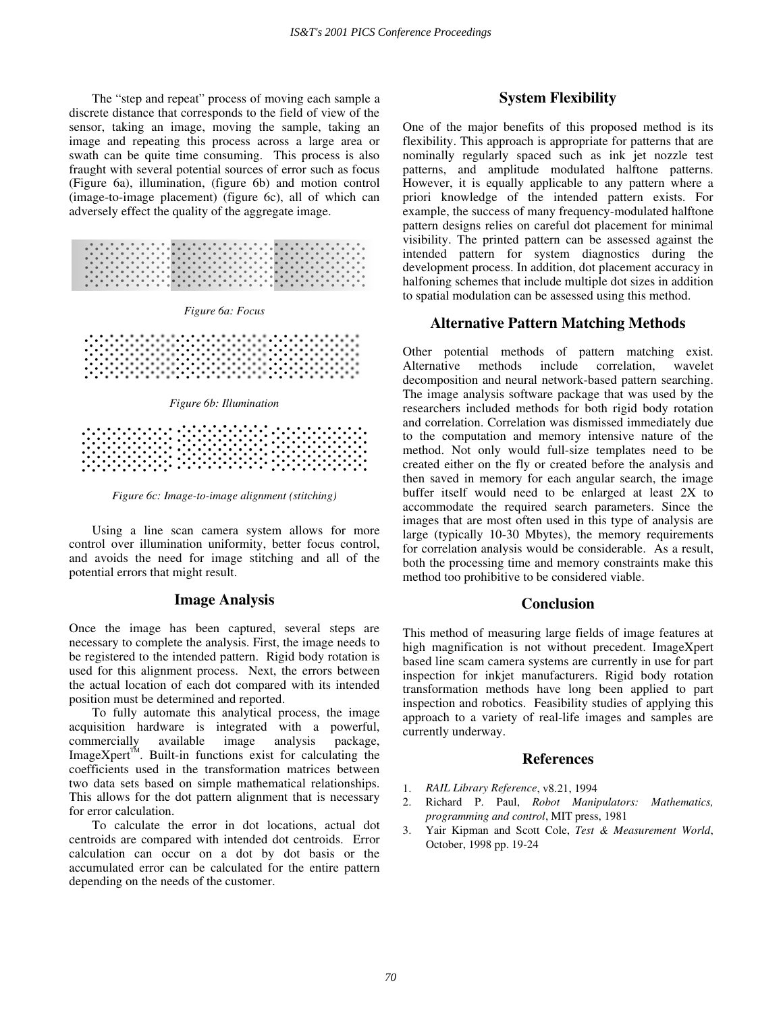The "step and repeat" process of moving each sample a discrete distance that corresponds to the field of view of the sensor, taking an image, moving the sample, taking an image and repeating this process across a large area or swath can be quite time consuming. This process is also fraught with several potential sources of error such as focus (Figure 6a), illumination, (figure 6b) and motion control (image-to-image placement) (figure 6c), all of which can adversely effect the quality of the aggregate image.









*Figure 6c: Image-to-image alignment (stitching)* 

Using a line scan camera system allows for more control over illumination uniformity, better focus control, and avoids the need for image stitching and all of the potential errors that might result.

#### **Image Analysis**

Once the image has been captured, several steps are necessary to complete the analysis. First, the image needs to be registered to the intended pattern. Rigid body rotation is used for this alignment process. Next, the errors between the actual location of each dot compared with its intended position must be determined and reported.

To fully automate this analytical process, the image acquisition hardware is integrated with a powerful, commercially available image analysis package,  $ImageXper<sup>TM</sup>$ . Built-in functions exist for calculating the coefficients used in the transformation matrices between two data sets based on simple mathematical relationships. This allows for the dot pattern alignment that is necessary for error calculation.

To calculate the error in dot locations, actual dot centroids are compared with intended dot centroids. Error calculation can occur on a dot by dot basis or the accumulated error can be calculated for the entire pattern depending on the needs of the customer.

## **System Flexibility**

One of the major benefits of this proposed method is its flexibility. This approach is appropriate for patterns that are nominally regularly spaced such as ink jet nozzle test patterns, and amplitude modulated halftone patterns. However, it is equally applicable to any pattern where a priori knowledge of the intended pattern exists. For example, the success of many frequency-modulated halftone pattern designs relies on careful dot placement for minimal visibility. The printed pattern can be assessed against the intended pattern for system diagnostics during the development process. In addition, dot placement accuracy in halfoning schemes that include multiple dot sizes in addition to spatial modulation can be assessed using this method.

## **Alternative Pattern Matching Methods**

Other potential methods of pattern matching exist. Alternative methods include correlation, wavelet decomposition and neural network-based pattern searching. The image analysis software package that was used by the researchers included methods for both rigid body rotation and correlation. Correlation was dismissed immediately due to the computation and memory intensive nature of the method. Not only would full-size templates need to be created either on the fly or created before the analysis and then saved in memory for each angular search, the image buffer itself would need to be enlarged at least 2X to accommodate the required search parameters. Since the images that are most often used in this type of analysis are large (typically 10-30 Mbytes), the memory requirements for correlation analysis would be considerable. As a result, both the processing time and memory constraints make this method too prohibitive to be considered viable.

## **Conclusion**

This method of measuring large fields of image features at high magnification is not without precedent. ImageXpert based line scam camera systems are currently in use for part inspection for inkjet manufacturers. Rigid body rotation transformation methods have long been applied to part inspection and robotics. Feasibility studies of applying this approach to a variety of real-life images and samples are currently underway.

## **References**

- 1. *RAIL Library Reference*, v8.21, 1994
- 2. Richard P. Paul, *Robot Manipulators: Mathematics, programming and control*, MIT press, 1981
- 3. Yair Kipman and Scott Cole, *Test & Measurement World*, October, 1998 pp. 19-24